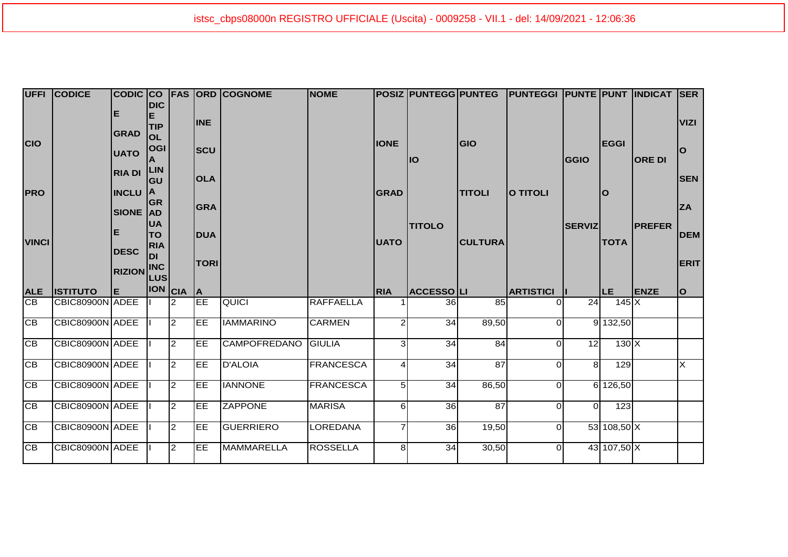|                              | <b>UFFI CODICE</b>                 |                            | <b>DIC</b>              |                                  |                 | CODIC CO FAS ORD COGNOME | <b>NOME</b>                 |                |                       |                 | POSIZ PUNTEGG PUNTEG PUNTEGGI PUNTE PUNT INDICAT SER |                |                            |               |                         |
|------------------------------|------------------------------------|----------------------------|-------------------------|----------------------------------|-----------------|--------------------------|-----------------------------|----------------|-----------------------|-----------------|------------------------------------------------------|----------------|----------------------------|---------------|-------------------------|
|                              |                                    | Е                          | Е<br><b>TIP</b>         |                                  | <b>INE</b>      |                          |                             |                |                       |                 |                                                      |                |                            |               | <b>VIZI</b>             |
| <b>CIO</b>                   |                                    | <b>GRAD</b><br><b>UATO</b> | <b>OL</b><br><b>OGI</b> |                                  | <b>SCU</b>      |                          |                             | <b>IONE</b>    |                       | <b>GIO</b>      |                                                      |                | <b>EGGI</b>                |               | $\Omega$                |
|                              |                                    | <b>RIA DI</b>              | <b>LIN</b>              |                                  |                 |                          |                             |                | llO                   |                 |                                                      | <b>GGIO</b>    |                            | <b>ORE DI</b> |                         |
| <b>PRO</b>                   |                                    | <b>INCLU</b>               | <b>GU</b><br><b>IA</b>  |                                  | <b>OLA</b>      |                          |                             | <b>GRAD</b>    |                       | <b>TITOLI</b>   | O TITOLI                                             |                | $\mathbf O$                |               | <b>SEN</b>              |
|                              |                                    | SIONE AD                   | <b>GR</b>               |                                  | <b>GRA</b>      |                          |                             |                |                       |                 |                                                      |                |                            |               | <b>ZA</b>               |
| <b>VINCI</b>                 |                                    | Е                          | <b>UA</b><br><b>TO</b>  |                                  | <b>DUA</b>      |                          |                             | <b>UATO</b>    | <b>TITOLO</b>         | <b>CULTURA</b>  |                                                      | <b>SERVIZ</b>  | <b>TOTA</b>                | <b>PREFER</b> | <b>DEM</b>              |
|                              |                                    | <b>DESC</b>                | <b>RIA</b><br><b>DI</b> |                                  | <b>TORI</b>     |                          |                             |                |                       |                 |                                                      |                |                            |               | ERIT                    |
|                              |                                    | <b>RIZION INC</b>          |                         |                                  |                 |                          |                             |                |                       |                 |                                                      |                |                            |               |                         |
|                              |                                    |                            |                         |                                  |                 |                          |                             |                |                       |                 |                                                      |                |                            |               |                         |
| <b>ALE</b>                   | <b>ISTITUTO</b>                    | Е                          |                         |                                  | <b>IA</b>       |                          |                             | <b>RIA</b>     | <b>ACCESSOLI</b>      |                 | <b>ARTISTICI</b>                                     |                | ILE.                       | <b>ENZE</b>   | lo.                     |
| CB                           | CBIC80900N ADEE                    |                            | <b>ION</b> CIA          | $\overline{2}$                   | EE              | QUICI                    | <b>RAFFAELLA</b>            |                | 36I                   | 85              |                                                      | 24             | $145 \times$               |               |                         |
| $\overline{CB}$              | CBIC80900N ADEE                    |                            |                         | $\overline{2}$                   | EE              | <b>IAMMARINO</b>         | <b>CARMEN</b>               | $\mathcal{P}$  | 34                    | 89,50           | ΩI                                                   |                | 9 132,50                   |               |                         |
| <b>CB</b>                    | CBIC80900N ADEE                    |                            |                         | $\overline{2}$                   | <b>EE</b>       | <b>CAMPOFREDANO</b>      | GIULIA                      | $\overline{3}$ | 34                    | 84              | ΩI                                                   | 12             | $130 \mathrm{X}$           |               |                         |
| <b>CB</b>                    | CBIC80900N ADEE                    |                            |                         | $\overline{2}$                   | EE              | <b>D'ALOIA</b>           | <b>FRANCESCA</b>            |                | 34                    | 87              | ΩI                                                   | 8 <sup>1</sup> | 129                        |               | $\overline{\mathsf{x}}$ |
| <b>CB</b>                    | CBIC80900N ADEE                    |                            |                         | $\overline{2}$                   | <b>EE</b>       | <b>IANNONE</b>           | <b>FRANCESCA</b>            | 51             | 34                    | 86,50           | $\Omega$                                             |                | 6 126,50                   |               |                         |
| <b>CB</b>                    | CBIC80900N ADEE                    |                            |                         | $\overline{2}$                   | <b>EE</b>       | <b>ZAPPONE</b>           | <b>MARISA</b>               | 6              | 36                    | $\overline{87}$ | ΩI                                                   | $\Omega$       | 123                        |               |                         |
| <b>CB</b><br>$\overline{CB}$ | CBIC80900N ADEE<br>CBIC80900N ADEE |                            |                         | $\overline{2}$<br>$\overline{2}$ | <b>EE</b><br>EE | GUERRIERO<br>MAMMARELLA  | LOREDANA<br><b>ROSSELLA</b> |                | 36 <sup>°</sup><br>34 | 19,50<br>30,50  | ΩI                                                   |                | 53 108,50 X<br>43 107,50 X |               |                         |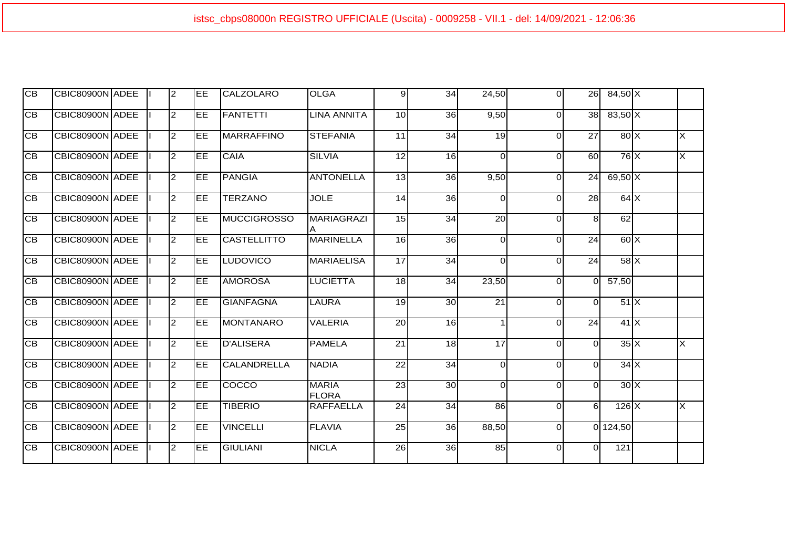| Iсв             | CBIC80900N ADEE |  | 2              | <b>IEE</b> | CALZOLARO          | <b>OLGA</b>                  | 9 <sub>l</sub>  | 34 | 24,50           | $\Omega$ | 26              | $84,50 \times$                         |                         |
|-----------------|-----------------|--|----------------|------------|--------------------|------------------------------|-----------------|----|-----------------|----------|-----------------|----------------------------------------|-------------------------|
| <b>CB</b>       | CBIC80900N ADEE |  | $\overline{2}$ | EE         | FANTETTI           | LINA ANNITA                  | 10              | 36 | 9,50            | $\Omega$ | 38 <sup>1</sup> | $83,50$ X                              |                         |
| IСB             | CBIC80900N ADEE |  | $\overline{2}$ | EE         | <b>MARRAFFINO</b>  | <b>STEFANIA</b>              | 11              | 34 | 19              | $\Omega$ | 27              | 80X                                    | lx                      |
| IСB             | CBIC80900N ADEE |  | $\overline{2}$ | EE         | <b>CAIA</b>        | <b>SILVIA</b>                | 12              | 16 | $\Omega$        | $\Omega$ | 60              | $76$ $X$                               | X                       |
| IСB             | CBIC80900N ADEE |  | $\overline{2}$ | EE         | PANGIA             | <b>ANTONELLA</b>             | 13              | 36 | 9,50            | $\Omega$ | 24              | $69,50$ X                              |                         |
| $\overline{CB}$ | CBIC80900N ADEE |  | $\overline{c}$ | <b>IEE</b> | <b>TERZANO</b>     | <b>JOLE</b>                  | 14              | 36 | $\Omega$        | $\Omega$ | 28              | 64X                                    |                         |
| $\overline{CB}$ | CBIC80900N ADEE |  | $\overline{c}$ | EE         | <b>MUCCIGROSSO</b> | <b>MARIAGRAZI</b>            | 15              | 34 | $\overline{20}$ | $\Omega$ | 8 <sup>1</sup>  | 62                                     |                         |
| $\overline{CB}$ | CBIC80900N ADEE |  | $\overline{c}$ | EE         | <b>CASTELLITTO</b> | <b>MARINELLA</b>             | 16              | 36 | $\Omega$        | $\Omega$ | $\overline{24}$ | 60X                                    |                         |
| IСB             | CBIC80900N ADEE |  | $\overline{2}$ | <b>IEE</b> | LUDOVICO           | <b>MARIAELISA</b>            | 17              | 34 | $\Omega$        | $\Omega$ | 24              | 58X                                    |                         |
| IСB             | CBIC80900N ADEE |  | $\overline{2}$ | <b>IEE</b> | <b>AMOROSA</b>     | LUCIETTA                     | 18              | 34 | 23,50           | $\Omega$ | ΩI              | 57,50                                  |                         |
| IСB             | CBIC80900N ADEE |  | $\overline{2}$ | ĪЕE        | <b>GIANFAGNA</b>   | <b>LAURA</b>                 | 19              | 30 | $\overline{21}$ | $\Omega$ | $\Omega$        | 51X                                    |                         |
| $\overline{CB}$ | CBIC80900N ADEE |  | $\overline{c}$ | EE         | MONTANARO          | <b>VALERIA</b>               | $\overline{20}$ | 16 |                 | $\Omega$ | $\overline{24}$ | 41X                                    |                         |
| $\overline{CB}$ | CBIC80900N ADEE |  | $\overline{2}$ | <b>IEE</b> | <b>D'ALISERA</b>   | <b>PAMELA</b>                | $\overline{21}$ | 18 | $\overline{17}$ | $\Omega$ | $\Omega$        | $35\overline{\smash{\big }\mathsf{X}}$ | $\overline{\mathsf{x}}$ |
| IСB             | CBIC80900N ADEE |  | $\overline{2}$ | ĪЕE        | CALANDRELLA        | <b>NADIA</b>                 | $\overline{22}$ | 34 | $\Omega$        | $\Omega$ | ΩI              | 34X                                    |                         |
| IСB             | CBIC80900N ADEE |  | $\overline{2}$ | EE         | COCCO              | <b>MARIA</b><br><b>FLORA</b> | $\overline{23}$ | 30 | $\Omega$        | 0        | $\Omega$        | 30X                                    |                         |
| IСB             | CBIC80900N ADEE |  | $\overline{c}$ | EE         | <b>TIBERIO</b>     | <b>RAFFAELLA</b>             | 24              | 34 | $\overline{86}$ | $\Omega$ | 61              | $126$ X                                | lx                      |
| IСB             | CBIC80900N ADEE |  | $\overline{2}$ | <b>IEE</b> | <b>VINCELLI</b>    | <b>FLAVIA</b>                | 25              | 36 | 88,50           | $\Omega$ |                 | 0 124,50                               |                         |
| $\overline{CB}$ | CBIC80900N ADEE |  | $\overline{c}$ | EE         | <b>GIULIANI</b>    | <b>NICLA</b>                 | $\overline{26}$ | 36 | $\overline{85}$ | $\Omega$ | $\Omega$        | 121                                    |                         |